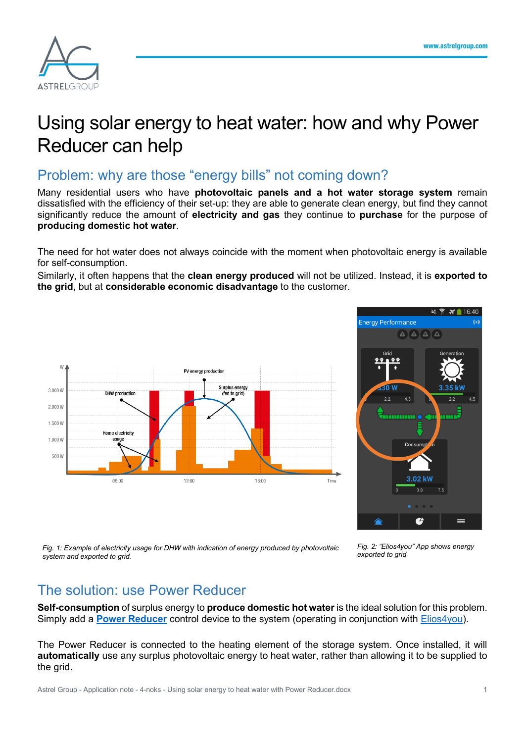

# Using solar energy to heat water: how and why Power Reducer can help

# Problem: why are those "energy bills" not coming down?

Many residential users who have **photovoltaic panels and a hot water storage system** remain dissatisfied with the efficiency of their set-up: they are able to generate clean energy, but find they cannot significantly reduce the amount of **electricity and gas** they continue to **purchase** for the purpose of **producing domestic hot water**.

The need for hot water does not always coincide with the moment when photovoltaic energy is available for self-consumption.

Similarly, it often happens that the **clean energy produced** will not be utilized. Instead, it is **exported to the grid**, but at **considerable economic disadvantage** to the customer.





*Fig. 1: Example of electricity usage for DHW with indication of energy produced by photovoltaic system and exported to grid.*

*Fig. 2: "Elios4you" App shows energy exported to grid*

# The solution: use Power Reducer

**Self-consumption** of surplus energy to **produce domestic hot water** is the ideal solution for this problem. Simply add a **[Power Reducer](https://www.4-noks.com/shop/elios4you-accessories/power-reducer/?lang=en)** control device to the system (operating in conjunction with [Elios4you\)](https://www.4-noks.com/product-categories/solar-photovoltaic-en/elios4you-en/?lang=en).

The Power Reducer is connected to the heating element of the storage system. Once installed, it will **automatically** use any surplus photovoltaic energy to heat water, rather than allowing it to be supplied to the grid.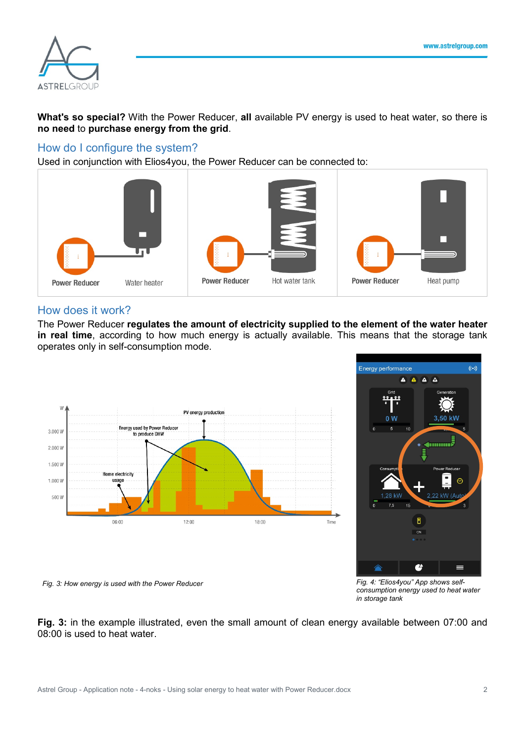

**What's so special?** With the Power Reducer, **all** available PV energy is used to heat water, so there is **no need** to **purchase energy from the grid**.

#### How do I configure the system?

Used in conjunction with Elios4you, the Power Reducer can be connected to:



#### How does it work?

The Power Reducer **regulates the amount of electricity supplied to the element of the water heater in real time**, according to how much energy is actually available. This means that the storage tank operates only in self-consumption mode.





*Fig. 3: How energy is used with the Power Reducer Fig. 4: "Elios4you" App shows self-*

*consumption energy used to heat water in storage tank*

**Fig. 3:** in the example illustrated, even the small amount of clean energy available between 07:00 and 08:00 is used to heat water.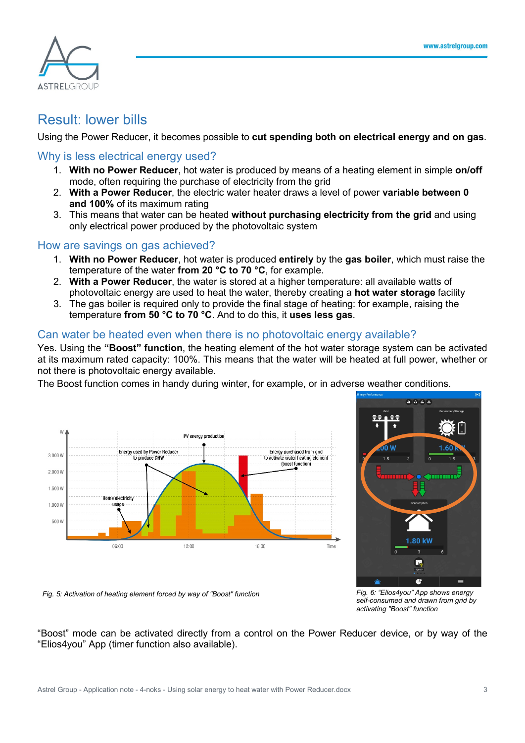

### Result: lower bills

Using the Power Reducer, it becomes possible to **cut spending both on electrical energy and on gas**.

### Why is less electrical energy used?

- 1. **With no Power Reducer**, hot water is produced by means of a heating element in simple **on/off** mode, often requiring the purchase of electricity from the grid
- 2. **With a Power Reducer**, the electric water heater draws a level of power **variable between 0 and 100%** of its maximum rating
- 3. This means that water can be heated **without purchasing electricity from the grid** and using only electrical power produced by the photovoltaic system

### How are savings on gas achieved?

- 1. **With no Power Reducer**, hot water is produced **entirely** by the **gas boiler**, which must raise the temperature of the water **from 20 °C to 70 °C**, for example.
- 2. **With a Power Reducer**, the water is stored at a higher temperature: all available watts of photovoltaic energy are used to heat the water, thereby creating a **hot water storage** facility
- 3. The gas boiler is required only to provide the final stage of heating: for example, raising the temperature **from 50 °C to 70 °C**. And to do this, it **uses less gas**.

### Can water be heated even when there is no photovoltaic energy available?

Yes. Using the **"Boost" function**, the heating element of the hot water storage system can be activated at its maximum rated capacity: 100%. This means that the water will be heated at full power, whether or not there is photovoltaic energy available.

The Boost function comes in handy during winter, for example, or in adverse weather conditions.





*self-consumed and drawn from grid by activating "Boost" function*

*Fig. 5: Activation of heating element forced by way of "Boost" function Fig. 6: "Elios4you" App shows energy* 

"Boost" mode can be activated directly from a control on the Power Reducer device, or by way of the "Elios4you" App (timer function also available).